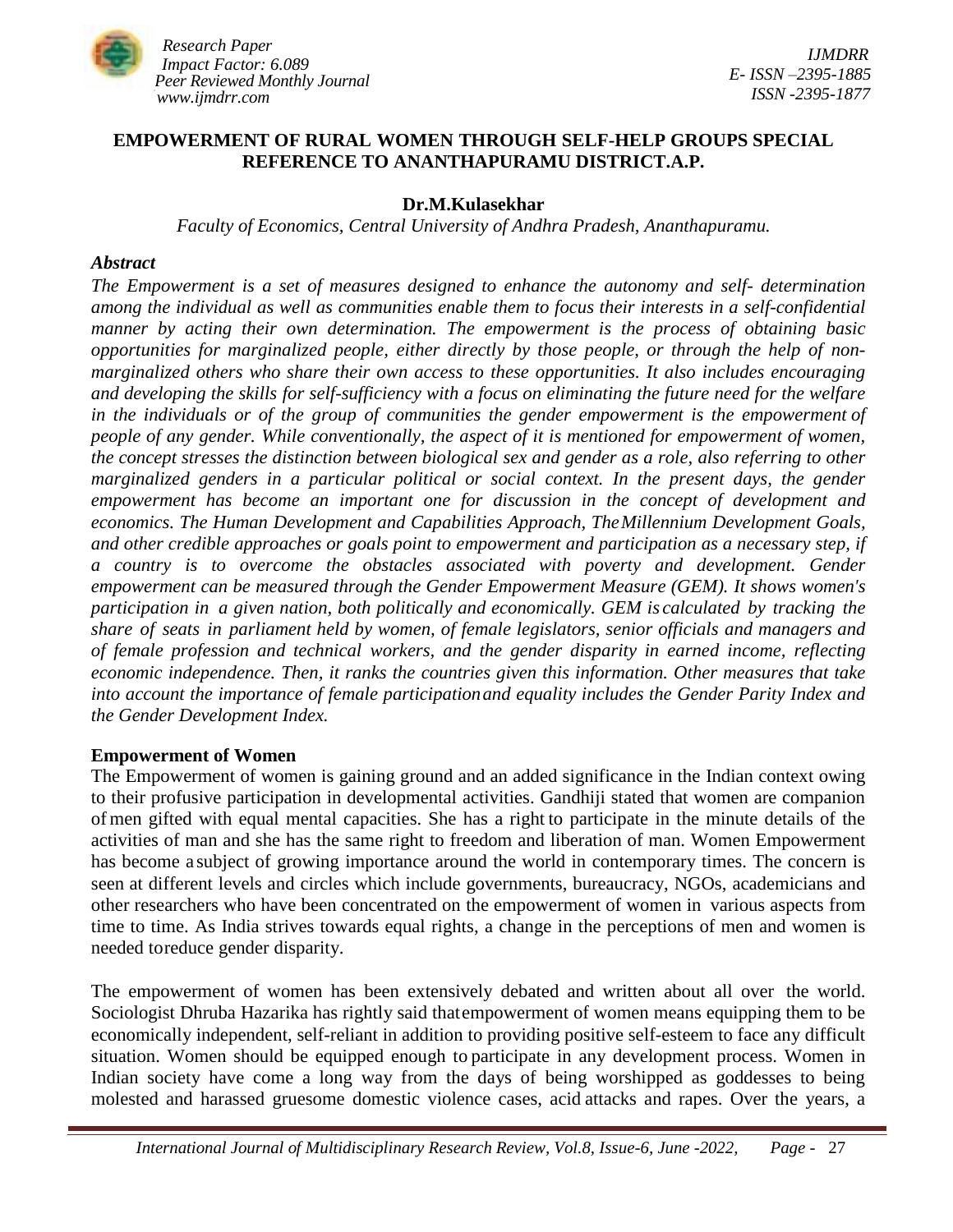

## **EMPOWERMENT OF RURAL WOMEN THROUGH SELF-HELP GROUPS SPECIAL REFERENCE TO ANANTHAPURAMU DISTRICT.A.P.**

## **Dr.M.Kulasekhar**

*Faculty of Economics, Central University of Andhra Pradesh, Ananthapuramu.*

#### *Abstract*

*The Empowerment is a set of measures designed to enhance the autonomy and self- determination among the individual as well as communities enable them to focus their interests in a self-confidential manner by acting their own determination. The empowerment is the process of obtaining basic opportunities for marginalized people, either directly by those people, or through the help of nonmarginalized others who share their own access to these opportunities. It also includes encouraging and developing the skills for self-sufficiency with a focus on eliminating the future need for the welfare in the individuals or of the group of communities the gender empowerment is the empowerment of people of any gender. While conventionally, the aspect of it is mentioned for empowerment of women, the concept stresses the distinction between biological sex and gender as a role, also referring to other marginalized genders in a particular political or social context. In the present days, the gender empowerment has become an important one for discussion in the concept of development and economics. The Human Development and Capabilities Approach, TheMillennium Development Goals, and other credible approaches or goals point to empowerment and participation as a necessary step, if a country is to overcome the obstacles associated with poverty and development. Gender empowerment can be measured through the Gender Empowerment Measure (GEM). It shows women's participation in a given nation, both politically and economically. GEM is calculated by tracking the share of seats in parliament held by women, of female legislators, senior officials and managers and of female profession and technical workers, and the gender disparity in earned income, reflecting economic independence. Then, it ranks the countries given this information. Other measures that take into account the importance of female participationand equality includes the Gender Parity Index and the Gender Development Index.*

### **Empowerment of Women**

The Empowerment of women is gaining ground and an added significance in the Indian context owing to their profusive participation in developmental activities. Gandhiji stated that women are companion of men gifted with equal mental capacities. She has a right to participate in the minute details of the activities of man and she has the same right to freedom and liberation of man. Women Empowerment has become a subject of growing importance around the world in contemporary times. The concern is seen at different levels and circles which include governments, bureaucracy, NGOs, academicians and other researchers who have been concentrated on the empowerment of women in various aspects from time to time. As India strives towards equal rights, a change in the perceptions of men and women is needed toreduce gender disparity.

The empowerment of women has been extensively debated and written about all over the world. Sociologist Dhruba Hazarika has rightly said thatempowerment of women means equipping them to be economically independent, self-reliant in addition to providing positive self-esteem to face any difficult situation. Women should be equipped enough to participate in any development process. Women in Indian society have come a long way from the days of being worshipped as goddesses to being molested and harassed gruesome domestic violence cases, acid attacks and rapes. Over the years, a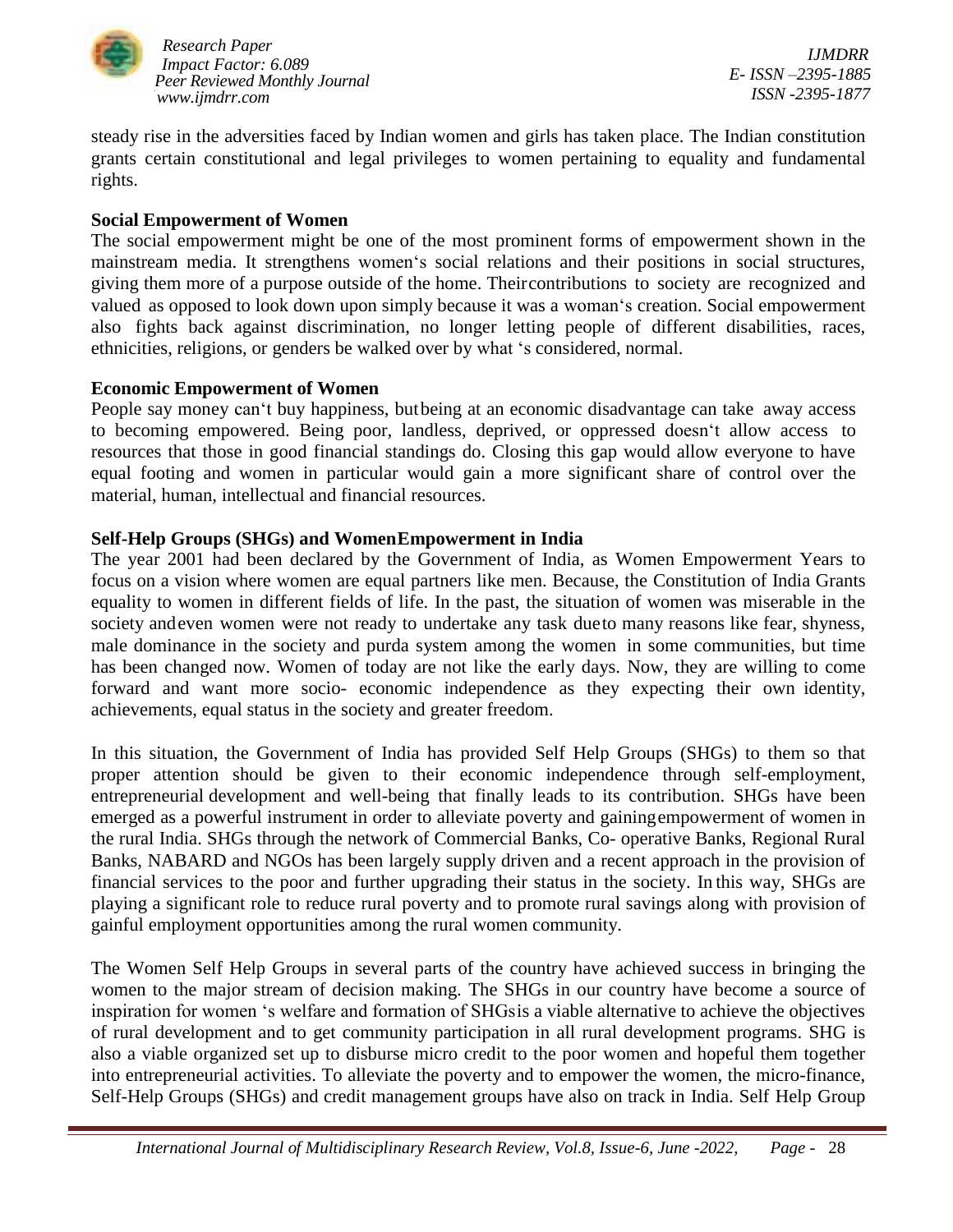

*IJMDRR E- ISSN –2395-1885 ISSN -2395-1877*

steady rise in the adversities faced by Indian women and girls has taken place. The Indian constitution grants certain constitutional and legal privileges to women pertaining to equality and fundamental rights.

### **Social Empowerment of Women**

The social empowerment might be one of the most prominent forms of empowerment shown in the mainstream media. It strengthens women's social relations and their positions in social structures, giving them more of a purpose outside of the home. Theircontributions to society are recognized and valued as opposed to look down upon simply because it was a woman's creation. Social empowerment also fights back against discrimination, no longer letting people of different disabilities, races, ethnicities, religions, or genders be walked over by what 's considered, normal.

## **Economic Empowerment of Women**

People say money can't buy happiness, butbeing at an economic disadvantage can take away access to becoming empowered. Being poor, landless, deprived, or oppressed doesn't allow access to resources that those in good financial standings do. Closing this gap would allow everyone to have equal footing and women in particular would gain a more significant share of control over the material, human, intellectual and financial resources.

# **Self-Help Groups (SHGs) and WomenEmpowerment in India**

The year 2001 had been declared by the Government of India, as Women Empowerment Years to focus on a vision where women are equal partners like men. Because, the Constitution of India Grants equality to women in different fields of life. In the past, the situation of women was miserable in the society andeven women were not ready to undertake any task dueto many reasons like fear, shyness, male dominance in the society and purda system among the women in some communities, but time has been changed now. Women of today are not like the early days. Now, they are willing to come forward and want more socio- economic independence as they expecting their own identity, achievements, equal status in the society and greater freedom.

In this situation, the Government of India has provided Self Help Groups (SHGs) to them so that proper attention should be given to their economic independence through self-employment, entrepreneurial development and well-being that finally leads to its contribution. SHGs have been emerged as a powerful instrument in order to alleviate poverty and gainingempowerment of women in the rural India. SHGs through the network of Commercial Banks, Co- operative Banks, Regional Rural Banks, NABARD and NGOs has been largely supply driven and a recent approach in the provision of financial services to the poor and further upgrading their status in the society. In this way, SHGs are playing a significant role to reduce rural poverty and to promote rural savings along with provision of gainful employment opportunities among the rural women community.

The Women Self Help Groups in several parts of the country have achieved success in bringing the women to the major stream of decision making. The SHGs in our country have become a source of inspiration for women 's welfare and formation of SHGsis a viable alternative to achieve the objectives of rural development and to get community participation in all rural development programs. SHG is also a viable organized set up to disburse micro credit to the poor women and hopeful them together into entrepreneurial activities. To alleviate the poverty and to empower the women, the micro-finance, Self-Help Groups (SHGs) and credit management groups have also on track in India. Self Help Group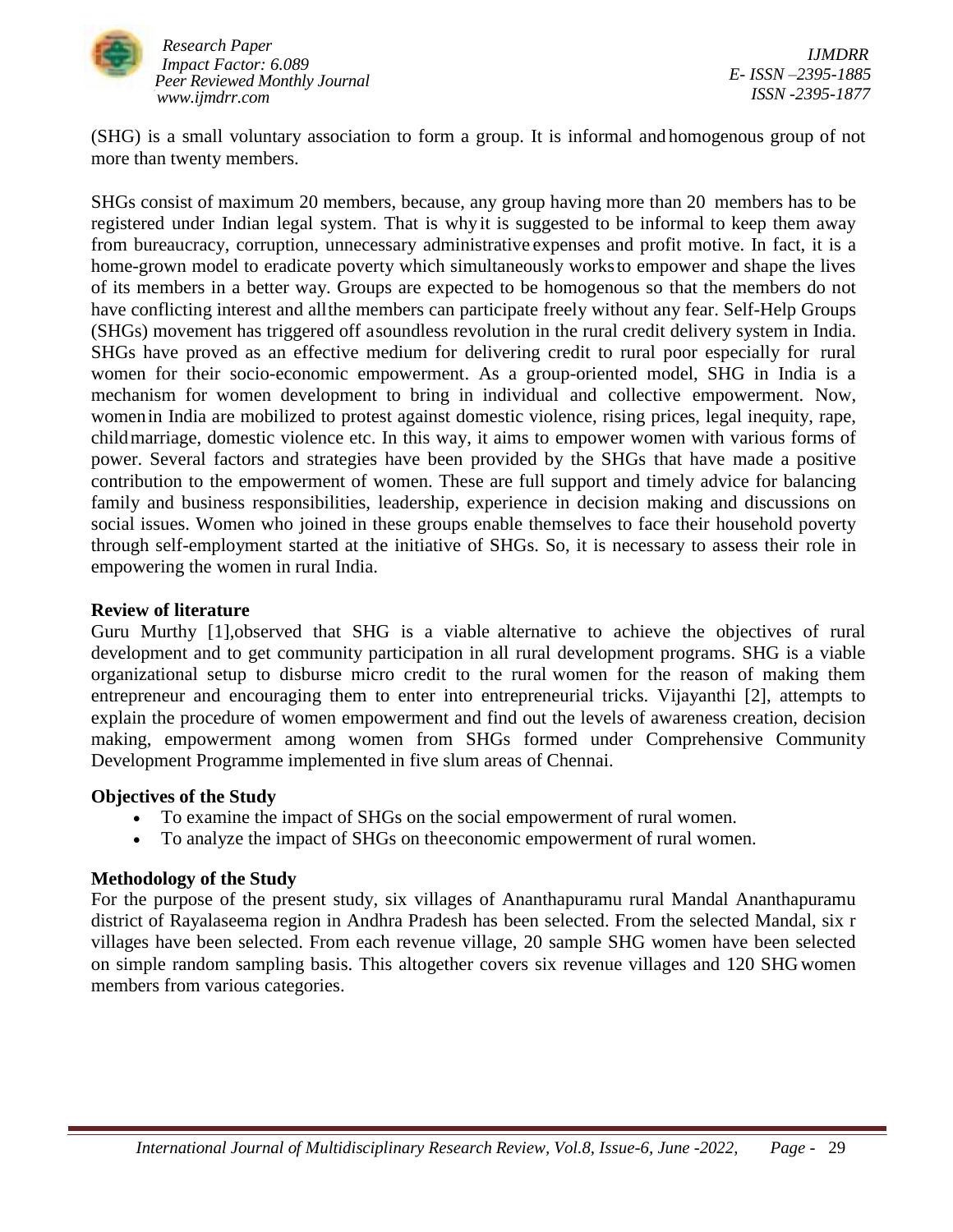

(SHG) is a small voluntary association to form a group. It is informal and homogenous group of not more than twenty members.

SHGs consist of maximum 20 members, because, any group having more than 20 members has to be registered under Indian legal system. That is why it is suggested to be informal to keep them away from bureaucracy, corruption, unnecessary administrative expenses and profit motive. In fact, it is a home-grown model to eradicate poverty which simultaneously worksto empower and shape the lives of its members in a better way. Groups are expected to be homogenous so that the members do not have conflicting interest and allthe members can participate freely without any fear. Self-Help Groups (SHGs) movement has triggered off asoundless revolution in the rural credit delivery system in India. SHGs have proved as an effective medium for delivering credit to rural poor especially for rural women for their socio-economic empowerment. As a group-oriented model, SHG in India is a mechanism for women development to bring in individual and collective empowerment. Now, womenin India are mobilized to protest against domestic violence, rising prices, legal inequity, rape, childmarriage, domestic violence etc. In this way, it aims to empower women with various forms of power. Several factors and strategies have been provided by the SHGs that have made a positive contribution to the empowerment of women. These are full support and timely advice for balancing family and business responsibilities, leadership, experience in decision making and discussions on social issues. Women who joined in these groups enable themselves to face their household poverty through self-employment started at the initiative of SHGs. So, it is necessary to assess their role in empowering the women in rural India.

### **Review of literature**

Guru Murthy [1],observed that SHG is a viable alternative to achieve the objectives of rural development and to get community participation in all rural development programs. SHG is a viable organizational setup to disburse micro credit to the rural women for the reason of making them entrepreneur and encouraging them to enter into entrepreneurial tricks. Vijayanthi [2], attempts to explain the procedure of women empowerment and find out the levels of awareness creation, decision making, empowerment among women from SHGs formed under Comprehensive Community Development Programme implemented in five slum areas of Chennai.

### **Objectives of the Study**

- To examine the impact of SHGs on the social empowerment of rural women.
- To analyze the impact of SHGs on theeconomic empowerment of rural women.

# **Methodology of the Study**

For the purpose of the present study, six villages of Ananthapuramu rural Mandal Ananthapuramu district of Rayalaseema region in Andhra Pradesh has been selected. From the selected Mandal, six r villages have been selected. From each revenue village, 20 sample SHG women have been selected on simple random sampling basis. This altogether covers six revenue villages and 120 SHG women members from various categories.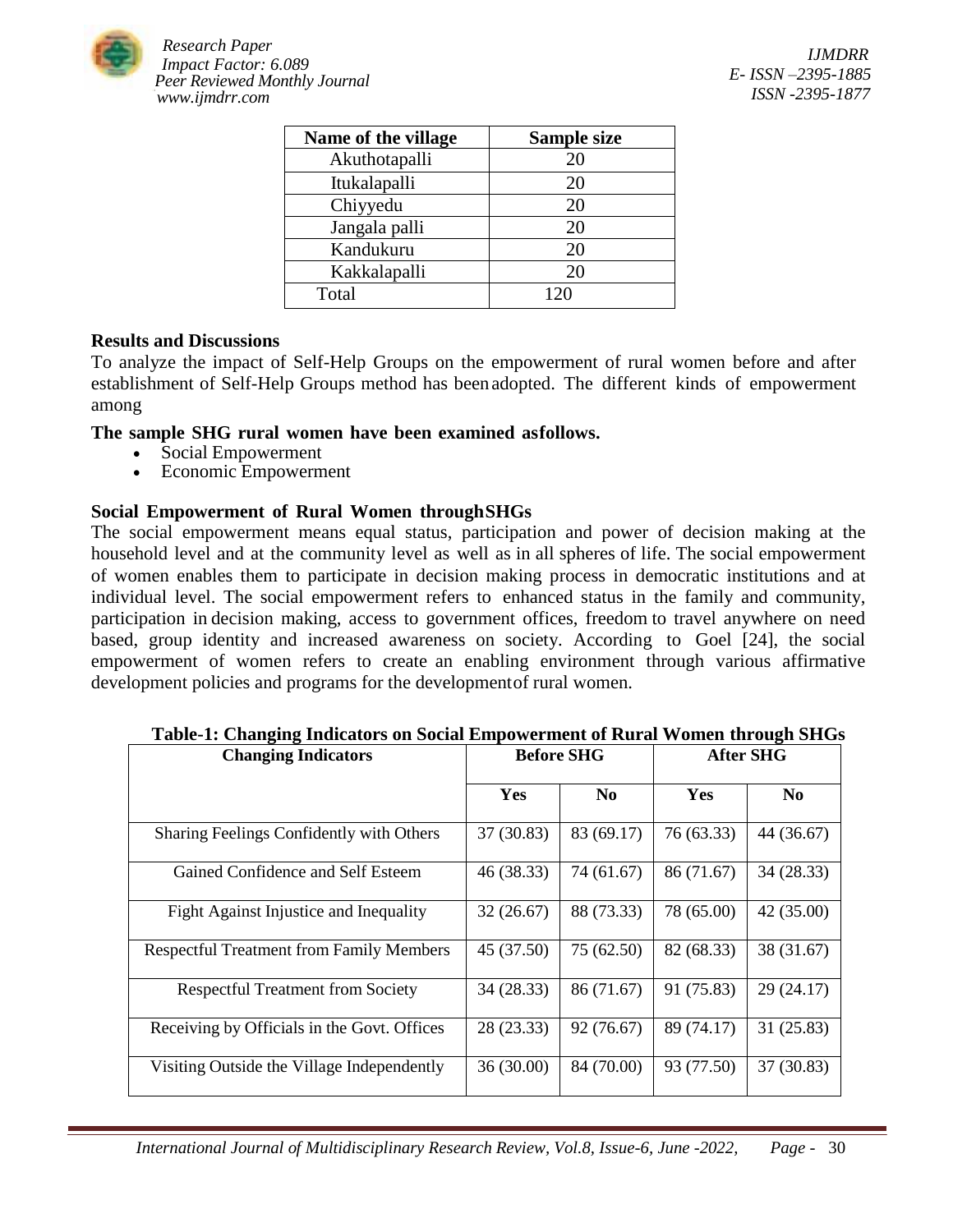

| Name of the village | Sample size |
|---------------------|-------------|
| Akuthotapalli       | 20          |
| Itukalapalli        | 20          |
| Chiyyedu            | 20          |
| Jangala palli       | 20          |
| Kandukuru           | 20          |
| Kakkalapalli        | 20          |
| Total               | 120         |

### **Results and Discussions**

To analyze the impact of Self-Help Groups on the empowerment of rural women before and after establishment of Self-Help Groups method has beenadopted. The different kinds of empowerment among

## **The sample SHG rural women have been examined asfollows.**

- Social Empowerment
- Economic Empowerment

## **Social Empowerment of Rural Women throughSHGs**

The social empowerment means equal status, participation and power of decision making at the household level and at the community level as well as in all spheres of life. The social empowerment of women enables them to participate in decision making process in democratic institutions and at individual level. The social empowerment refers to enhanced status in the family and community, participation in decision making, access to government offices, freedom to travel anywhere on need based, group identity and increased awareness on society. According to Goel [24], the social empowerment of women refers to create an enabling environment through various affirmative development policies and programs for the developmentof rural women.

| <b>Changing Indicators</b>                      | <b>Before SHG</b> |                | <b>After SHG</b> |                |
|-------------------------------------------------|-------------------|----------------|------------------|----------------|
|                                                 | Yes               | N <sub>0</sub> | <b>Yes</b>       | N <sub>0</sub> |
| Sharing Feelings Confidently with Others        | 37 (30.83)        | 83 (69.17)     | 76 (63.33)       | 44 (36.67)     |
| Gained Confidence and Self Esteem               | 46 (38.33)        | 74 (61.67)     | 86 (71.67)       | 34 (28.33)     |
| <b>Fight Against Injustice and Inequality</b>   | 32(26.67)         | 88 (73.33)     | 78 (65.00)       | 42 (35.00)     |
| <b>Respectful Treatment from Family Members</b> | 45 (37.50)        | 75 (62.50)     | 82 (68.33)       | 38 (31.67)     |
| <b>Respectful Treatment from Society</b>        | 34 (28.33)        | 86 (71.67)     | 91 (75.83)       | 29(24.17)      |
| Receiving by Officials in the Govt. Offices     | 28 (23.33)        | 92 (76.67)     | 89 (74.17)       | 31(25.83)      |
| Visiting Outside the Village Independently      | 36(30.00)         | 84 (70.00)     | 93 (77.50)       | 37(30.83)      |

 **Table-1: Changing Indicators on Social Empowerment of Rural Women through SHGs**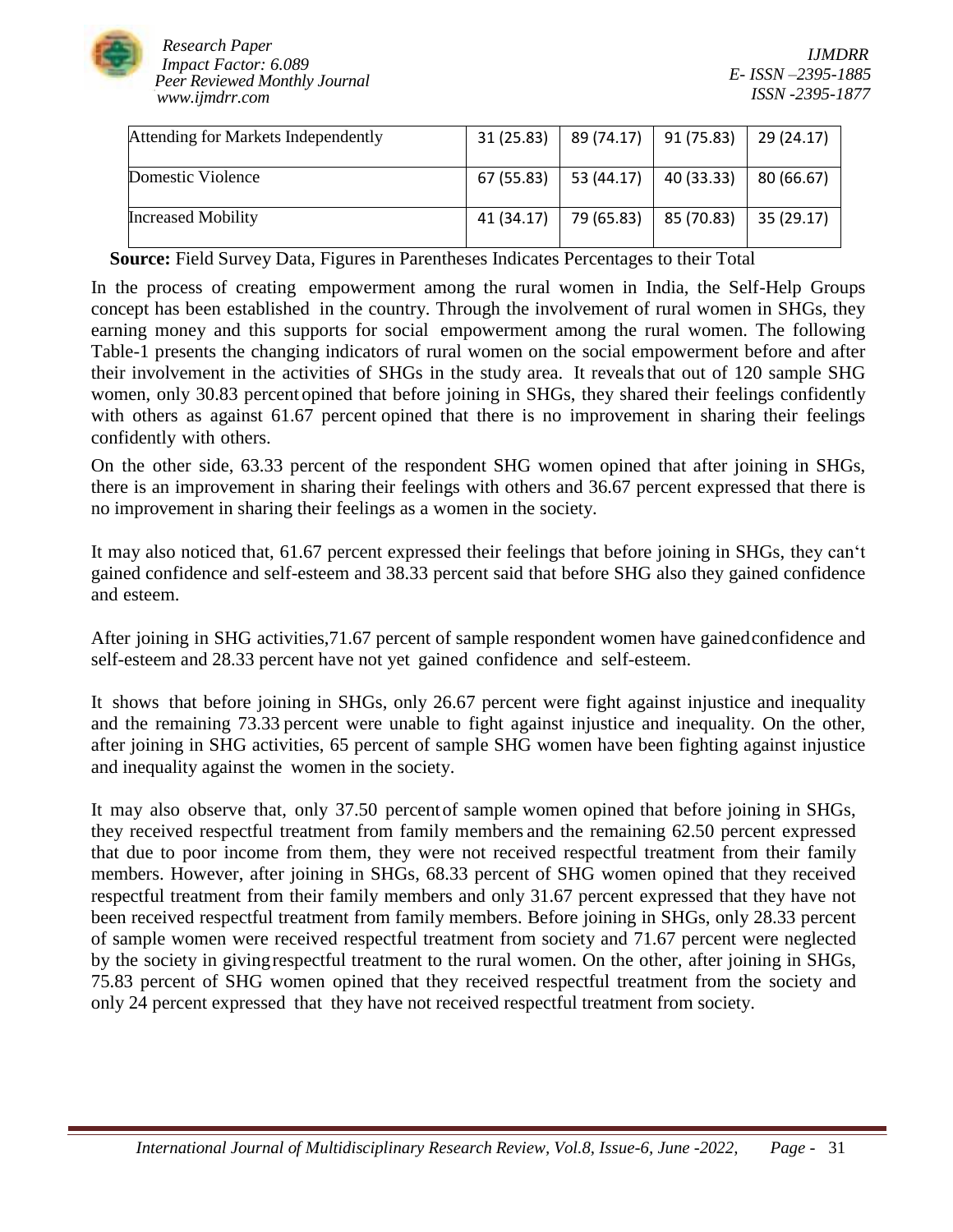

| Attending for Markets Independently | 31(25.83)  | 89 (74.17) 91 (75.83) |            | $\vert$ 29 (24.17) |
|-------------------------------------|------------|-----------------------|------------|--------------------|
|                                     |            |                       |            |                    |
|                                     |            |                       |            |                    |
| Domestic Violence                   | 67 (55.83) | 53 (44.17)            | 40 (33.33) | 80 (66.67)         |
| <b>Increased Mobility</b>           | 41 (34.17) | 79 (65.83)            | 85 (70.83) | 35(29.17)          |

 **Source:** Field Survey Data, Figures in Parentheses Indicates Percentages to their Total

In the process of creating empowerment among the rural women in India, the Self-Help Groups concept has been established in the country. Through the involvement of rural women in SHGs, they earning money and this supports for social empowerment among the rural women. The following Table-1 presents the changing indicators of rural women on the social empowerment before and after their involvement in the activities of SHGs in the study area. It revealsthat out of 120 sample SHG women, only 30.83 percent opined that before joining in SHGs, they shared their feelings confidently with others as against 61.67 percent opined that there is no improvement in sharing their feelings confidently with others.

On the other side, 63.33 percent of the respondent SHG women opined that after joining in SHGs, there is an improvement in sharing their feelings with others and 36.67 percent expressed that there is no improvement in sharing their feelings as a women in the society.

It may also noticed that, 61.67 percent expressed their feelings that before joining in SHGs, they can't gained confidence and self-esteem and 38.33 percent said that before SHG also they gained confidence and esteem.

After joining in SHG activities,71.67 percent of sample respondent women have gainedconfidence and self-esteem and 28.33 percent have not yet gained confidence and self-esteem.

It shows that before joining in SHGs, only 26.67 percent were fight against injustice and inequality and the remaining 73.33 percent were unable to fight against injustice and inequality. On the other, after joining in SHG activities, 65 percent of sample SHG women have been fighting against injustice and inequality against the women in the society.

It may also observe that, only 37.50 percentof sample women opined that before joining in SHGs, they received respectful treatment from family members and the remaining 62.50 percent expressed that due to poor income from them, they were not received respectful treatment from their family members. However, after joining in SHGs, 68.33 percent of SHG women opined that they received respectful treatment from their family members and only 31.67 percent expressed that they have not been received respectful treatment from family members. Before joining in SHGs, only 28.33 percent of sample women were received respectful treatment from society and 71.67 percent were neglected by the society in givingrespectful treatment to the rural women. On the other, after joining in SHGs, 75.83 percent of SHG women opined that they received respectful treatment from the society and only 24 percent expressed that they have not received respectful treatment from society.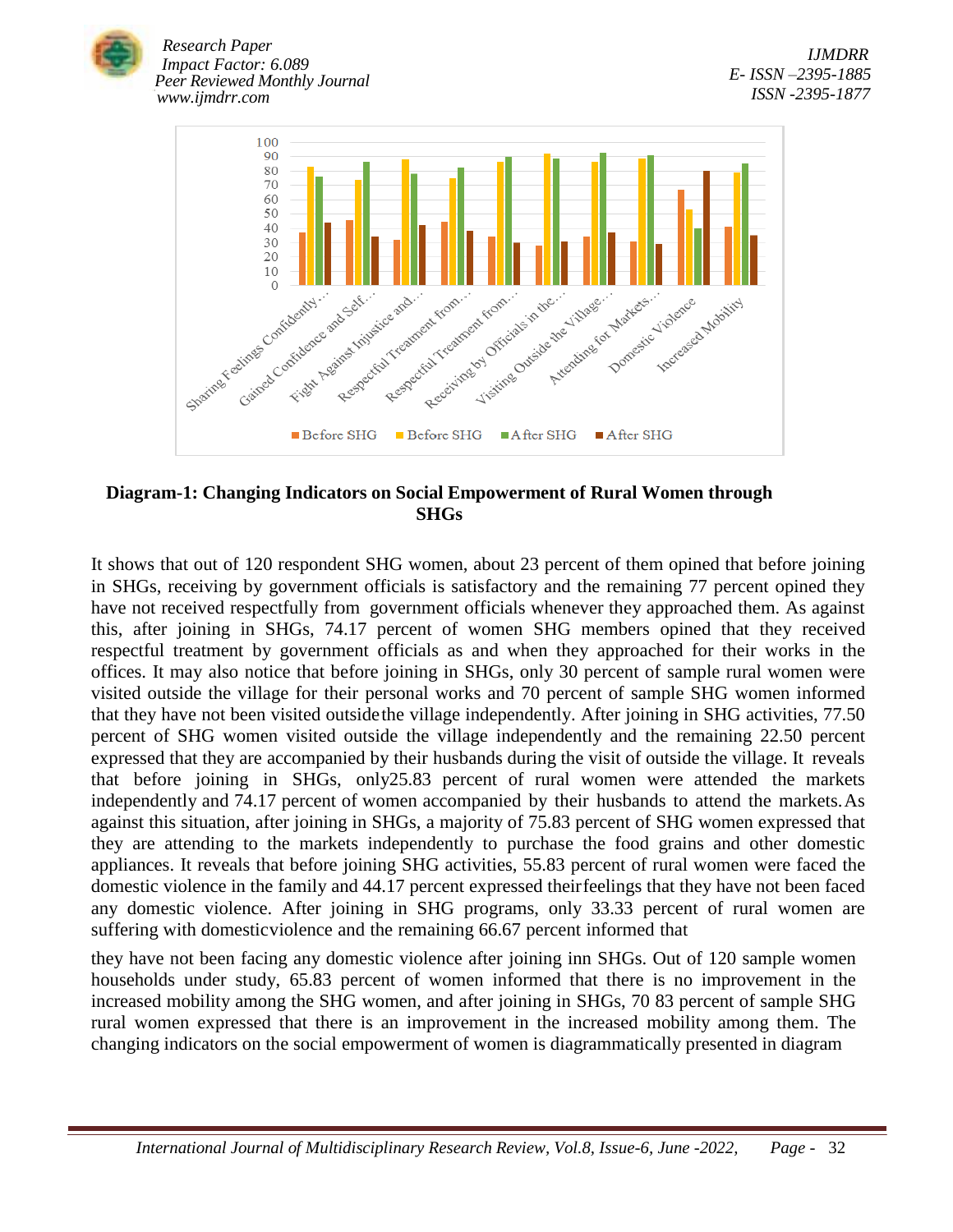



## **Diagram-1: Changing Indicators on Social Empowerment of Rural Women through SHGs**

It shows that out of 120 respondent SHG women, about 23 percent of them opined that before joining in SHGs, receiving by government officials is satisfactory and the remaining 77 percent opined they have not received respectfully from government officials whenever they approached them. As against this, after joining in SHGs, 74.17 percent of women SHG members opined that they received respectful treatment by government officials as and when they approached for their works in the offices. It may also notice that before joining in SHGs, only 30 percent of sample rural women were visited outside the village for their personal works and 70 percent of sample SHG women informed that they have not been visited outsidethe village independently. After joining in SHG activities, 77.50 percent of SHG women visited outside the village independently and the remaining 22.50 percent expressed that they are accompanied by their husbands during the visit of outside the village. It reveals that before joining in SHGs, only25.83 percent of rural women were attended the markets independently and 74.17 percent of women accompanied by their husbands to attend the markets.As against this situation, after joining in SHGs, a majority of 75.83 percent of SHG women expressed that they are attending to the markets independently to purchase the food grains and other domestic appliances. It reveals that before joining SHG activities, 55.83 percent of rural women were faced the domestic violence in the family and 44.17 percent expressed theirfeelings that they have not been faced any domestic violence. After joining in SHG programs, only 33.33 percent of rural women are suffering with domesticviolence and the remaining 66.67 percent informed that

they have not been facing any domestic violence after joining inn SHGs. Out of 120 sample women households under study, 65.83 percent of women informed that there is no improvement in the increased mobility among the SHG women, and after joining in SHGs, 70 83 percent of sample SHG rural women expressed that there is an improvement in the increased mobility among them. The changing indicators on the social empowerment of women is diagrammatically presented in diagram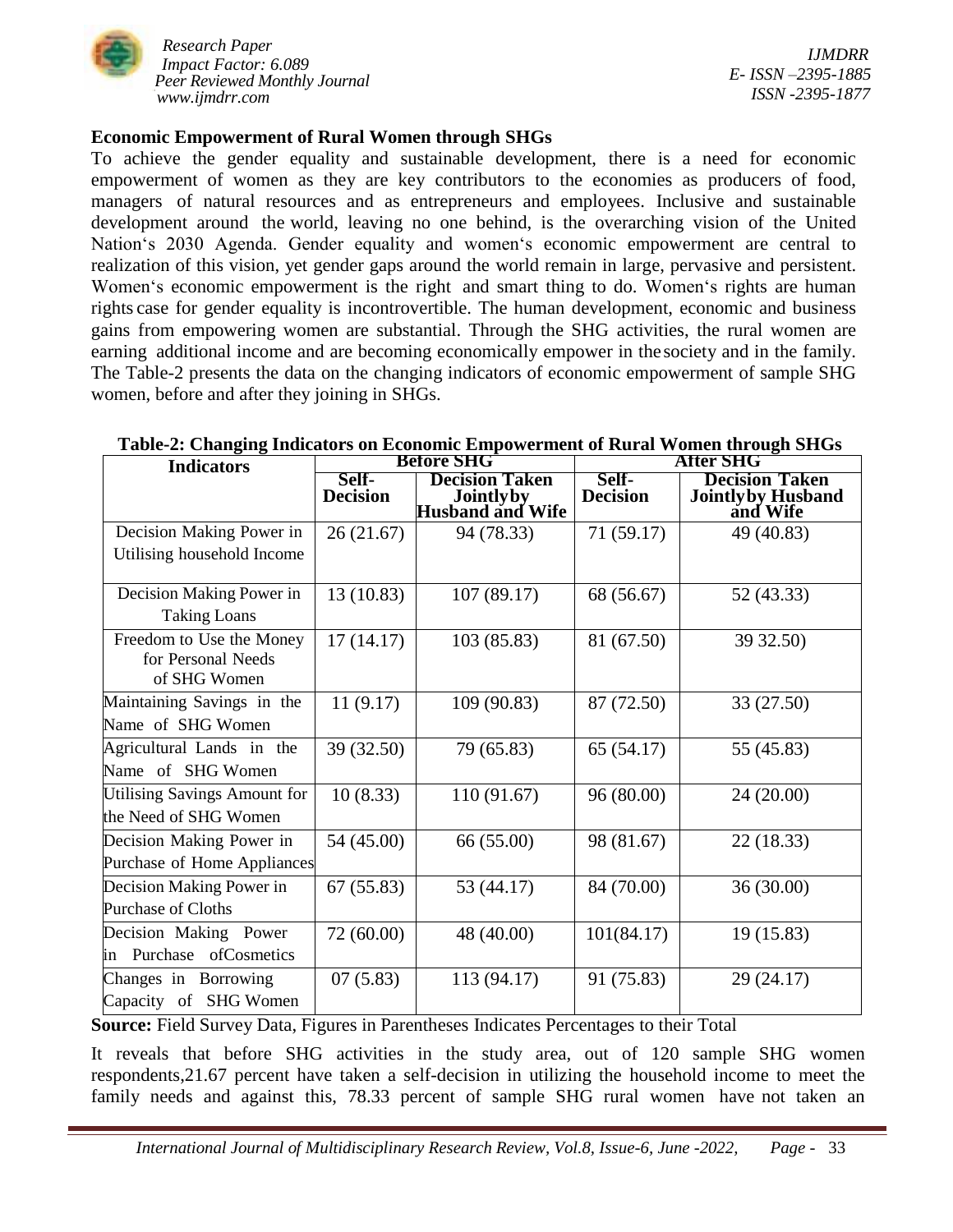

*IJMDRR E- ISSN –2395-1885 ISSN -2395-1877*

#### **Economic Empowerment of Rural Women through SHGs**

To achieve the gender equality and sustainable development, there is a need for economic empowerment of women as they are key contributors to the economies as producers of food, managers of natural resources and as entrepreneurs and employees. Inclusive and sustainable development around the world, leaving no one behind, is the overarching vision of the United Nation's 2030 Agenda. Gender equality and women's economic empowerment are central to realization of this vision, yet gender gaps around the world remain in large, pervasive and persistent. Women's economic empowerment is the right and smart thing to do. Women's rights are human rights case for gender equality is incontrovertible. The human development, economic and business gains from empowering women are substantial. Through the SHG activities, the rural women are earning additional income and are becoming economically empower in the society and in the family. The Table-2 presents the data on the changing indicators of economic empowerment of sample SHG women, before and after they joining in SHGs.

| <b>Indicators</b>                                              | <b>Before SHG</b>        |                                                                         | After SHG                |                                                                |  |
|----------------------------------------------------------------|--------------------------|-------------------------------------------------------------------------|--------------------------|----------------------------------------------------------------|--|
|                                                                | Self-<br><b>Decision</b> | <b>Decision Taken</b><br><b>South</b><br>Jointly by<br>Husband and Wife | Self-<br><b>Decision</b> | <b>Decision Taken</b><br><b>Jointly by Husband</b><br>and Wife |  |
| Decision Making Power in                                       | 26(21.67)                | 94 (78.33)                                                              | 71 (59.17)               | 49 (40.83)                                                     |  |
| Utilising household Income                                     |                          |                                                                         |                          |                                                                |  |
| Decision Making Power in                                       | 13 (10.83)               | 107 (89.17)                                                             | 68 (56.67)               | 52 (43.33)                                                     |  |
| <b>Taking Loans</b>                                            |                          |                                                                         |                          |                                                                |  |
| Freedom to Use the Money<br>for Personal Needs<br>of SHG Women | 17(14.17)                | 103 (85.83)                                                             | 81 (67.50)               | 39 32.50)                                                      |  |
| Maintaining Savings in the<br>Name of SHG Women                | 11(9.17)                 | 109 (90.83)                                                             | 87 (72.50)               | 33 (27.50)                                                     |  |
|                                                                |                          |                                                                         |                          |                                                                |  |
| Agricultural Lands in the                                      | 39 (32.50)               | 79 (65.83)                                                              | 65 (54.17)               | 55 (45.83)                                                     |  |
| Name of SHG Women                                              |                          |                                                                         |                          |                                                                |  |
| Utilising Savings Amount for                                   | 10(8.33)                 | 110 (91.67)                                                             | 96 (80.00)               | 24 (20.00)                                                     |  |
| the Need of SHG Women                                          |                          |                                                                         |                          |                                                                |  |
| Decision Making Power in                                       | 54 (45.00)               | 66 (55.00)                                                              | 98 (81.67)               | 22 (18.33)                                                     |  |
| Purchase of Home Appliances                                    |                          |                                                                         |                          |                                                                |  |
| Decision Making Power in                                       | 67(55.83)                | 53 (44.17)                                                              | 84 (70.00)               | 36 (30.00)                                                     |  |
| Purchase of Cloths                                             |                          |                                                                         |                          |                                                                |  |
| Decision Making Power                                          | 72 (60.00)               | 48 (40.00)                                                              | 101(84.17)               | 19 (15.83)                                                     |  |
| in Purchase ofCosmetics                                        |                          |                                                                         |                          |                                                                |  |
| Changes in Borrowing                                           | 07(5.83)                 | 113 (94.17)                                                             | 91 (75.83)               | 29 (24.17)                                                     |  |
| Capacity of SHG Women                                          |                          |                                                                         |                          |                                                                |  |

#### **Table-2: Changing Indicators on Economic Empowerment of Rural Women through SHGs**

**Source:** Field Survey Data, Figures in Parentheses Indicates Percentages to their Total

It reveals that before SHG activities in the study area, out of 120 sample SHG women respondents,21.67 percent have taken a self-decision in utilizing the household income to meet the family needs and against this, 78.33 percent of sample SHG rural women have not taken an

 *International Journal of Multidisciplinary Research Review, Vol.8, Issue-6, June -2022, Page -* 33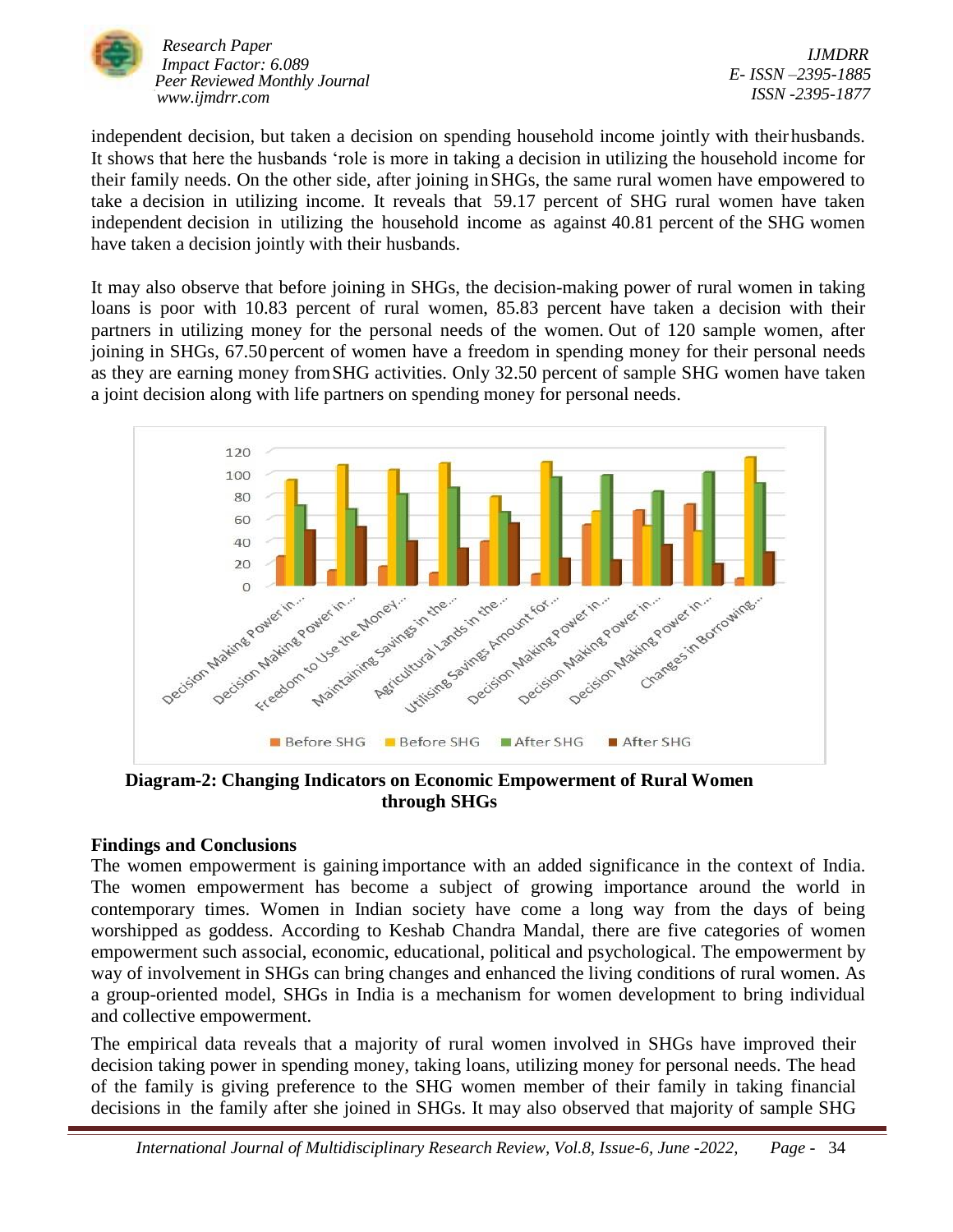

*IJMDRR E- ISSN –2395-1885 ISSN -2395-1877*

independent decision, but taken a decision on spending household income jointly with theirhusbands. It shows that here the husbands 'role is more in taking a decision in utilizing the household income for their family needs. On the other side, after joining inSHGs, the same rural women have empowered to take a decision in utilizing income. It reveals that 59.17 percent of SHG rural women have taken independent decision in utilizing the household income as against 40.81 percent of the SHG women have taken a decision jointly with their husbands.

It may also observe that before joining in SHGs, the decision-making power of rural women in taking loans is poor with 10.83 percent of rural women, 85.83 percent have taken a decision with their partners in utilizing money for the personal needs of the women. Out of 120 sample women, after joining in SHGs, 67.50 percent of women have a freedom in spending money for their personal needs as they are earning money fromSHG activities. Only 32.50 percent of sample SHG women have taken a joint decision along with life partners on spending money for personal needs.



**Diagram-2: Changing Indicators on Economic Empowerment of Rural Women through SHGs**

### **Findings and Conclusions**

The women empowerment is gaining importance with an added significance in the context of India. The women empowerment has become a subject of growing importance around the world in contemporary times. Women in Indian society have come a long way from the days of being worshipped as goddess. According to Keshab Chandra Mandal, there are five categories of women empowerment such associal, economic, educational, political and psychological. The empowerment by way of involvement in SHGs can bring changes and enhanced the living conditions of rural women. As a group-oriented model, SHGs in India is a mechanism for women development to bring individual and collective empowerment.

The empirical data reveals that a majority of rural women involved in SHGs have improved their decision taking power in spending money, taking loans, utilizing money for personal needs. The head of the family is giving preference to the SHG women member of their family in taking financial decisions in the family after she joined in SHGs. It may also observed that majority of sample SHG